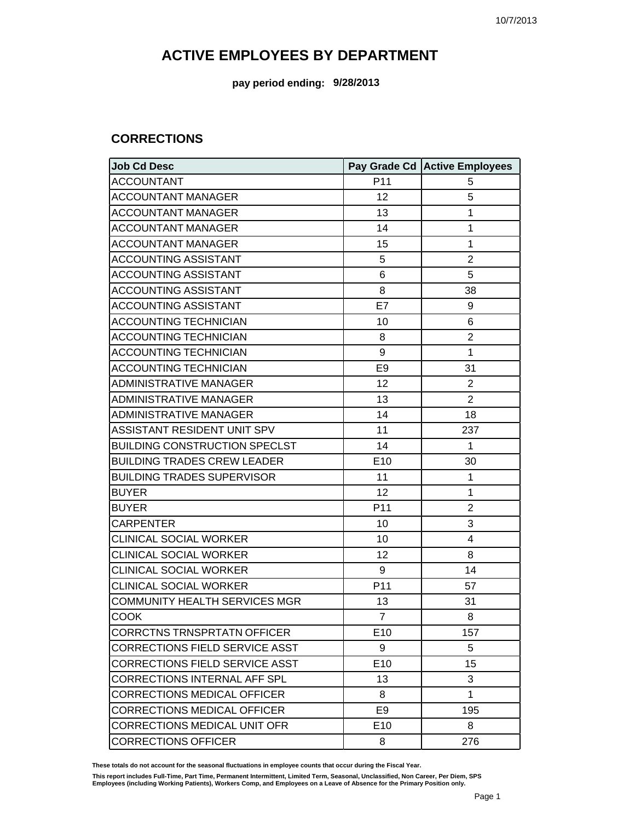**pay period ending: 9/28/2013**

#### **CORRECTIONS**

| <b>Job Cd Desc</b>                    |                 | Pay Grade Cd   Active Employees |
|---------------------------------------|-----------------|---------------------------------|
| <b>ACCOUNTANT</b>                     | P <sub>11</sub> | 5                               |
| <b>ACCOUNTANT MANAGER</b>             | 12              | 5                               |
| <b>ACCOUNTANT MANAGER</b>             | 13              | 1                               |
| <b>ACCOUNTANT MANAGER</b>             | 14              | 1                               |
| <b>ACCOUNTANT MANAGER</b>             | 15              | 1                               |
| <b>ACCOUNTING ASSISTANT</b>           | 5               | $\overline{2}$                  |
| <b>ACCOUNTING ASSISTANT</b>           | 6               | 5                               |
| <b>ACCOUNTING ASSISTANT</b>           | 8               | 38                              |
| <b>ACCOUNTING ASSISTANT</b>           | E7              | 9                               |
| <b>ACCOUNTING TECHNICIAN</b>          | 10              | 6                               |
| <b>ACCOUNTING TECHNICIAN</b>          | 8               | $\overline{2}$                  |
| <b>ACCOUNTING TECHNICIAN</b>          | 9               | 1                               |
| <b>ACCOUNTING TECHNICIAN</b>          | E <sub>9</sub>  | 31                              |
| <b>ADMINISTRATIVE MANAGER</b>         | 12              | $\overline{2}$                  |
| <b>ADMINISTRATIVE MANAGER</b>         | 13              | $\overline{2}$                  |
| <b>ADMINISTRATIVE MANAGER</b>         | 14              | 18                              |
| ASSISTANT RESIDENT UNIT SPV           | 11              | 237                             |
| <b>BUILDING CONSTRUCTION SPECLST</b>  | 14              | 1                               |
| <b>BUILDING TRADES CREW LEADER</b>    | E10             | 30                              |
| <b>BUILDING TRADES SUPERVISOR</b>     | 11              | 1                               |
| <b>BUYER</b>                          | 12              | 1                               |
| <b>BUYER</b>                          | P11             | $\overline{2}$                  |
| <b>CARPENTER</b>                      | 10              | 3                               |
| <b>CLINICAL SOCIAL WORKER</b>         | 10              | 4                               |
| <b>CLINICAL SOCIAL WORKER</b>         | 12              | 8                               |
| <b>CLINICAL SOCIAL WORKER</b>         | 9               | 14                              |
| <b>CLINICAL SOCIAL WORKER</b>         | P11             | 57                              |
| <b>COMMUNITY HEALTH SERVICES MGR</b>  | 13              | 31                              |
| <b>COOK</b>                           | $\overline{7}$  | 8                               |
| <b>CORRCTNS TRNSPRTATN OFFICER</b>    | E10             | 157                             |
| CORRECTIONS FIELD SERVICE ASST        | 9               | 5                               |
| <b>CORRECTIONS FIELD SERVICE ASST</b> | E10             | 15                              |
| <b>CORRECTIONS INTERNAL AFF SPL</b>   | 13              | 3                               |
| <b>CORRECTIONS MEDICAL OFFICER</b>    | 8               | 1                               |
| <b>CORRECTIONS MEDICAL OFFICER</b>    | E <sub>9</sub>  | 195                             |
| <b>CORRECTIONS MEDICAL UNIT OFR</b>   | E <sub>10</sub> | 8                               |
| <b>CORRECTIONS OFFICER</b>            | 8               | 276                             |

**These totals do not account for the seasonal fluctuations in employee counts that occur during the Fiscal Year.**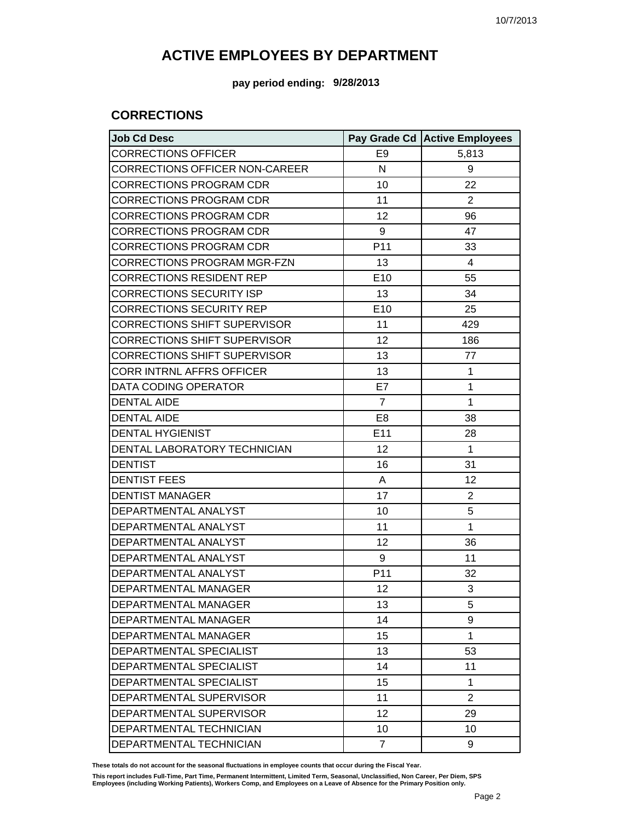**pay period ending: 9/28/2013**

#### **CORRECTIONS**

| <b>Job Cd Desc</b>                    |                | Pay Grade Cd Active Employees |
|---------------------------------------|----------------|-------------------------------|
| <b>CORRECTIONS OFFICER</b>            | E <sub>9</sub> | 5,813                         |
| <b>CORRECTIONS OFFICER NON-CAREER</b> | N              | 9                             |
| <b>CORRECTIONS PROGRAM CDR</b>        | 10             | 22                            |
| <b>CORRECTIONS PROGRAM CDR</b>        | 11             | $\overline{2}$                |
| <b>CORRECTIONS PROGRAM CDR</b>        | 12             | 96                            |
| <b>CORRECTIONS PROGRAM CDR</b>        | 9              | 47                            |
| <b>CORRECTIONS PROGRAM CDR</b>        | P11            | 33                            |
| <b>CORRECTIONS PROGRAM MGR-FZN</b>    | 13             | 4                             |
| <b>CORRECTIONS RESIDENT REP</b>       | E10            | 55                            |
| <b>CORRECTIONS SECURITY ISP</b>       | 13             | 34                            |
| <b>CORRECTIONS SECURITY REP</b>       | E10            | 25                            |
| <b>CORRECTIONS SHIFT SUPERVISOR</b>   | 11             | 429                           |
| <b>CORRECTIONS SHIFT SUPERVISOR</b>   | 12             | 186                           |
| <b>CORRECTIONS SHIFT SUPERVISOR</b>   | 13             | 77                            |
| <b>CORR INTRNL AFFRS OFFICER</b>      | 13             | $\mathbf{1}$                  |
| DATA CODING OPERATOR                  | E7             | $\mathbf{1}$                  |
| <b>DENTAL AIDE</b>                    | $\overline{7}$ | $\mathbf{1}$                  |
| <b>DENTAL AIDE</b>                    | E <sub>8</sub> | 38                            |
| <b>DENTAL HYGIENIST</b>               | E11            | 28                            |
| DENTAL LABORATORY TECHNICIAN          | 12             | $\mathbf 1$                   |
| <b>DENTIST</b>                        | 16             | 31                            |
| <b>DENTIST FEES</b>                   | A              | 12                            |
| <b>DENTIST MANAGER</b>                | 17             | $\overline{2}$                |
| DEPARTMENTAL ANALYST                  | 10             | 5                             |
| DEPARTMENTAL ANALYST                  | 11             | $\mathbf{1}$                  |
| DEPARTMENTAL ANALYST                  | 12             | 36                            |
| DEPARTMENTAL ANALYST                  | 9              | 11                            |
| DEPARTMENTAL ANALYST                  | P11            | 32                            |
| DEPARTMENTAL MANAGER                  | 12             | 3                             |
| DEPARTMENTAL MANAGER                  | 13             | 5                             |
| DEPARTMENTAL MANAGER                  | 14             | 9                             |
| DEPARTMENTAL MANAGER                  | 15             | $\mathbf{1}$                  |
| DEPARTMENTAL SPECIALIST               | 13             | 53                            |
| DEPARTMENTAL SPECIALIST               | 14             | 11                            |
| DEPARTMENTAL SPECIALIST               | 15             | $\mathbf{1}$                  |
| DEPARTMENTAL SUPERVISOR               | 11             | $\overline{2}$                |
| DEPARTMENTAL SUPERVISOR               | 12             | 29                            |
| DEPARTMENTAL TECHNICIAN               | 10             | 10                            |
| DEPARTMENTAL TECHNICIAN               | $\overline{7}$ | 9                             |

**These totals do not account for the seasonal fluctuations in employee counts that occur during the Fiscal Year.**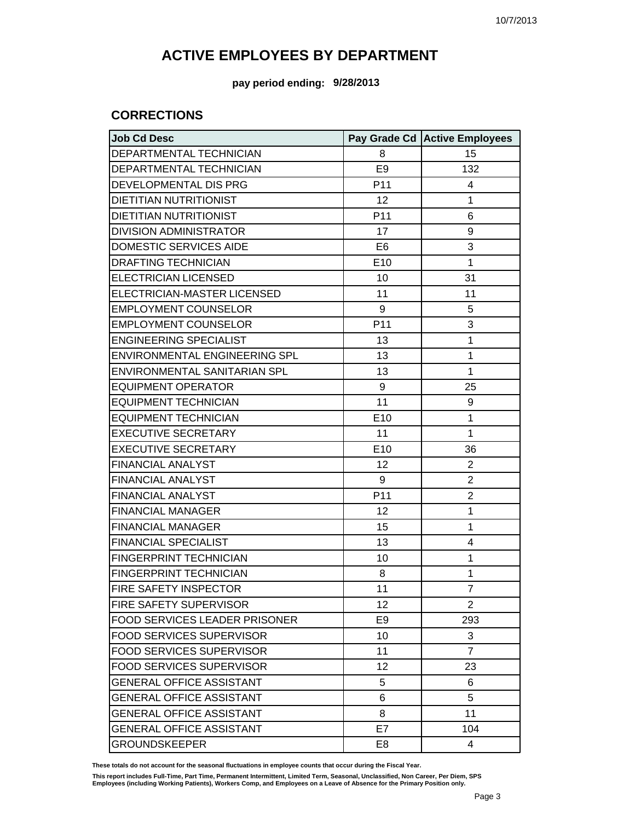**pay period ending: 9/28/2013**

#### **CORRECTIONS**

| <b>Job Cd Desc</b>                   |                 | Pay Grade Cd Active Employees |
|--------------------------------------|-----------------|-------------------------------|
| DEPARTMENTAL TECHNICIAN              | 8               | 15                            |
| DEPARTMENTAL TECHNICIAN              | E <sub>9</sub>  | 132                           |
| DEVELOPMENTAL DIS PRG                | P11             | 4                             |
| <b>DIETITIAN NUTRITIONIST</b>        | 12              | $\mathbf{1}$                  |
| DIETITIAN NUTRITIONIST               | P11             | 6                             |
| <b>DIVISION ADMINISTRATOR</b>        | 17              | 9                             |
| DOMESTIC SERVICES AIDE               | E <sub>6</sub>  | 3                             |
| <b>DRAFTING TECHNICIAN</b>           | E <sub>10</sub> | $\mathbf{1}$                  |
| <b>ELECTRICIAN LICENSED</b>          | 10              | 31                            |
| ELECTRICIAN-MASTER LICENSED          | 11              | 11                            |
| <b>EMPLOYMENT COUNSELOR</b>          | 9               | 5                             |
| <b>EMPLOYMENT COUNSELOR</b>          | P11             | 3                             |
| <b>ENGINEERING SPECIALIST</b>        | 13              | 1                             |
| ENVIRONMENTAL ENGINEERING SPL        | 13              | $\mathbf{1}$                  |
| ENVIRONMENTAL SANITARIAN SPL         | 13              | $\mathbf{1}$                  |
| <b>EQUIPMENT OPERATOR</b>            | 9               | 25                            |
| <b>EQUIPMENT TECHNICIAN</b>          | 11              | 9                             |
| <b>EQUIPMENT TECHNICIAN</b>          | E <sub>10</sub> | $\mathbf{1}$                  |
| <b>EXECUTIVE SECRETARY</b>           | 11              | $\mathbf{1}$                  |
| <b>EXECUTIVE SECRETARY</b>           | E <sub>10</sub> | 36                            |
| <b>FINANCIAL ANALYST</b>             | 12              | $\overline{2}$                |
| <b>FINANCIAL ANALYST</b>             | 9               | $\overline{2}$                |
| <b>FINANCIAL ANALYST</b>             | P11             | $\overline{2}$                |
| <b>FINANCIAL MANAGER</b>             | 12              | $\mathbf{1}$                  |
| <b>FINANCIAL MANAGER</b>             | 15              | 1                             |
| <b>FINANCIAL SPECIALIST</b>          | 13              | 4                             |
| <b>FINGERPRINT TECHNICIAN</b>        | 10              | 1                             |
| <b>FINGERPRINT TECHNICIAN</b>        | 8               | 1                             |
| FIRE SAFETY INSPECTOR                | 11              | $\overline{7}$                |
| FIRE SAFETY SUPERVISOR               | 12              | 2                             |
| <b>FOOD SERVICES LEADER PRISONER</b> | E <sub>9</sub>  | 293                           |
| <b>FOOD SERVICES SUPERVISOR</b>      | 10              | 3                             |
| FOOD SERVICES SUPERVISOR             | 11              | $\overline{7}$                |
| <b>FOOD SERVICES SUPERVISOR</b>      | 12              | 23                            |
| <b>GENERAL OFFICE ASSISTANT</b>      | 5               | 6                             |
| GENERAL OFFICE ASSISTANT             | 6               | 5                             |
| <b>GENERAL OFFICE ASSISTANT</b>      | 8               | 11                            |
| <b>GENERAL OFFICE ASSISTANT</b>      | E7              | 104                           |
| <b>GROUNDSKEEPER</b>                 | E <sub>8</sub>  | $\overline{4}$                |

**These totals do not account for the seasonal fluctuations in employee counts that occur during the Fiscal Year.**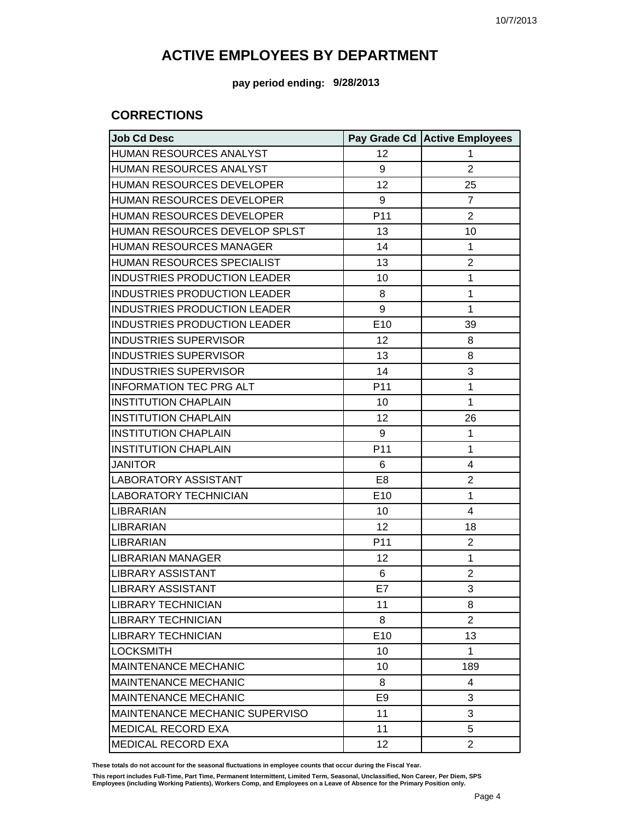**pay period ending: 9/28/2013**

#### **CORRECTIONS**

| <b>Job Cd Desc</b>                  |                 | Pay Grade Cd Active Employees |
|-------------------------------------|-----------------|-------------------------------|
| HUMAN RESOURCES ANALYST             | 12              | 1                             |
| <b>HUMAN RESOURCES ANALYST</b>      | 9               | $\overline{2}$                |
| HUMAN RESOURCES DEVELOPER           | 12              | 25                            |
| <b>HUMAN RESOURCES DEVELOPER</b>    | 9               | $\overline{7}$                |
| HUMAN RESOURCES DEVELOPER           | P11             | $\overline{2}$                |
| HUMAN RESOURCES DEVELOP SPLST       | 13              | 10                            |
| <b>HUMAN RESOURCES MANAGER</b>      | 14              | $\mathbf{1}$                  |
| <b>HUMAN RESOURCES SPECIALIST</b>   | 13              | $\overline{2}$                |
| INDUSTRIES PRODUCTION LEADER        | 10              | 1                             |
| <b>INDUSTRIES PRODUCTION LEADER</b> | 8               | $\mathbf{1}$                  |
| INDUSTRIES PRODUCTION LEADER        | 9               | 1                             |
| <b>INDUSTRIES PRODUCTION LEADER</b> | E10             | 39                            |
| <b>INDUSTRIES SUPERVISOR</b>        | 12              | 8                             |
| <b>INDUSTRIES SUPERVISOR</b>        | 13              | 8                             |
| <b>INDUSTRIES SUPERVISOR</b>        | 14              | 3                             |
| <b>INFORMATION TEC PRG ALT</b>      | P11             | $\mathbf{1}$                  |
| <b>INSTITUTION CHAPLAIN</b>         | 10              | $\mathbf{1}$                  |
| <b>INSTITUTION CHAPLAIN</b>         | 12              | 26                            |
| <b>INSTITUTION CHAPLAIN</b>         | 9               | $\mathbf{1}$                  |
| <b>INSTITUTION CHAPLAIN</b>         | P11             | $\mathbf{1}$                  |
| <b>JANITOR</b>                      | 6               | 4                             |
| <b>LABORATORY ASSISTANT</b>         | E <sub>8</sub>  | $\overline{2}$                |
| <b>LABORATORY TECHNICIAN</b>        | E10             | 1                             |
| <b>LIBRARIAN</b>                    | 10              | $\overline{4}$                |
| <b>LIBRARIAN</b>                    | 12              | 18                            |
| <b>LIBRARIAN</b>                    | P11             | $\overline{2}$                |
| <b>LIBRARIAN MANAGER</b>            | 12              | $\mathbf{1}$                  |
| <b>LIBRARY ASSISTANT</b>            | 6               | $\overline{2}$                |
| <b>LIBRARY ASSISTANT</b>            | E7              | 3                             |
| <b>LIBRARY TECHNICIAN</b>           | 11              | 8                             |
| <b>LIBRARY TECHNICIAN</b>           | 8               | $\overline{2}$                |
| <b>LIBRARY TECHNICIAN</b>           | E <sub>10</sub> | 13                            |
| <b>LOCKSMITH</b>                    | 10              | $\mathbf{1}$                  |
| <b>MAINTENANCE MECHANIC</b>         | 10              | 189                           |
| <b>MAINTENANCE MECHANIC</b>         | 8               | 4                             |
| <b>MAINTENANCE MECHANIC</b>         | E <sub>9</sub>  | 3                             |
| MAINTENANCE MECHANIC SUPERVISO      | 11              | 3                             |
| <b>MEDICAL RECORD EXA</b>           | 11              | 5                             |
| MEDICAL RECORD EXA                  | 12              | $\overline{2}$                |

**These totals do not account for the seasonal fluctuations in employee counts that occur during the Fiscal Year.**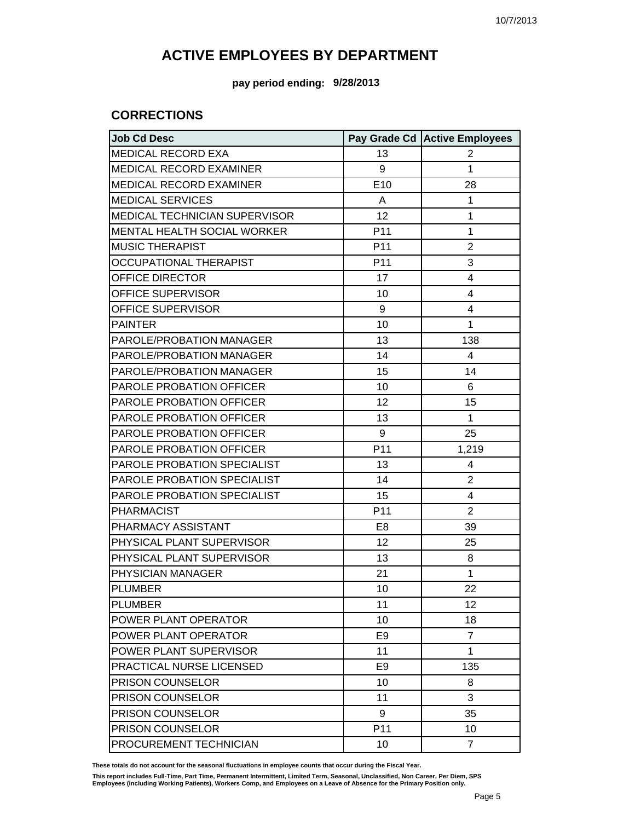**pay period ending: 9/28/2013**

#### **CORRECTIONS**

| <b>Job Cd Desc</b>                 |                 | Pay Grade Cd Active Employees |
|------------------------------------|-----------------|-------------------------------|
| MEDICAL RECORD EXA                 | 13              | 2                             |
| <b>MEDICAL RECORD EXAMINER</b>     | 9               | 1                             |
| <b>MEDICAL RECORD EXAMINER</b>     | E10             | 28                            |
| <b>MEDICAL SERVICES</b>            | A               | 1                             |
| MEDICAL TECHNICIAN SUPERVISOR      | 12              | 1                             |
| <b>MENTAL HEALTH SOCIAL WORKER</b> | P <sub>11</sub> | 1                             |
| <b>MUSIC THERAPIST</b>             | P <sub>11</sub> | $\overline{2}$                |
| <b>OCCUPATIONAL THERAPIST</b>      | P <sub>11</sub> | 3                             |
| OFFICE DIRECTOR                    | 17              | 4                             |
| OFFICE SUPERVISOR                  | 10              | 4                             |
| OFFICE SUPERVISOR                  | 9               | 4                             |
| <b>PAINTER</b>                     | 10              | 1                             |
| PAROLE/PROBATION MANAGER           | 13              | 138                           |
| PAROLE/PROBATION MANAGER           | 14              | 4                             |
| PAROLE/PROBATION MANAGER           | 15              | 14                            |
| <b>PAROLE PROBATION OFFICER</b>    | 10              | 6                             |
| PAROLE PROBATION OFFICER           | 12              | 15                            |
| <b>PAROLE PROBATION OFFICER</b>    | 13              | 1                             |
| PAROLE PROBATION OFFICER           | 9               | 25                            |
| PAROLE PROBATION OFFICER           | P <sub>11</sub> | 1,219                         |
| PAROLE PROBATION SPECIALIST        | 13              | 4                             |
| <b>PAROLE PROBATION SPECIALIST</b> | 14              | $\overline{2}$                |
| PAROLE PROBATION SPECIALIST        | 15              | 4                             |
| PHARMACIST                         | P <sub>11</sub> | $\overline{2}$                |
| PHARMACY ASSISTANT                 | E <sub>8</sub>  | 39                            |
| PHYSICAL PLANT SUPERVISOR          | 12              | 25                            |
| PHYSICAL PLANT SUPERVISOR          | 13              | 8                             |
| PHYSICIAN MANAGER                  | 21              | 1                             |
| <b>PLUMBER</b>                     | 10              | 22                            |
| <b>PLUMBER</b>                     | 11              | 12                            |
| POWER PLANT OPERATOR               | 10              | 18                            |
| POWER PLANT OPERATOR               | E9              | $\overline{7}$                |
| POWER PLANT SUPERVISOR             | 11              | 1                             |
| PRACTICAL NURSE LICENSED           | E9              | 135                           |
| PRISON COUNSELOR                   | 10              | 8                             |
| <b>PRISON COUNSELOR</b>            | 11              | 3                             |
| <b>PRISON COUNSELOR</b>            | 9               | 35                            |
| <b>PRISON COUNSELOR</b>            | P <sub>11</sub> | 10                            |
| PROCUREMENT TECHNICIAN             | 10              | $\overline{7}$                |

**These totals do not account for the seasonal fluctuations in employee counts that occur during the Fiscal Year.**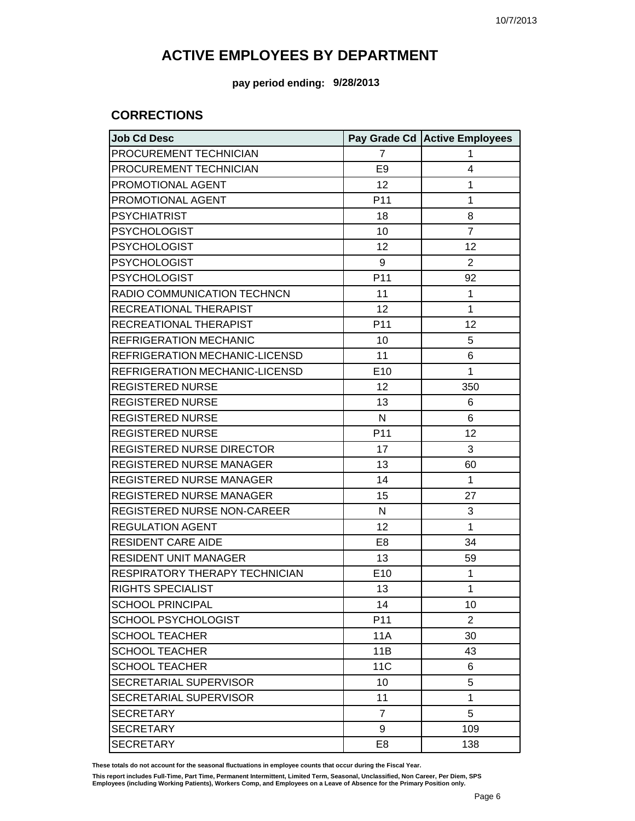**pay period ending: 9/28/2013**

#### **CORRECTIONS**

| <b>Job Cd Desc</b>             |                | Pay Grade Cd Active Employees |
|--------------------------------|----------------|-------------------------------|
| PROCUREMENT TECHNICIAN         | 7              | 1                             |
| PROCUREMENT TECHNICIAN         | E <sub>9</sub> | 4                             |
| PROMOTIONAL AGENT              | 12             | 1                             |
| PROMOTIONAL AGENT              | P11            | 1                             |
| <b>PSYCHIATRIST</b>            | 18             | 8                             |
| <b>PSYCHOLOGIST</b>            | 10             | $\overline{7}$                |
| <b>PSYCHOLOGIST</b>            | 12             | 12                            |
| <b>PSYCHOLOGIST</b>            | 9              | $\overline{2}$                |
| <b>PSYCHOLOGIST</b>            | P11            | 92                            |
| RADIO COMMUNICATION TECHNCN    | 11             | 1                             |
| RECREATIONAL THERAPIST         | 12             | 1                             |
| RECREATIONAL THERAPIST         | P11            | 12                            |
| REFRIGERATION MECHANIC         | 10             | 5                             |
| REFRIGERATION MECHANIC-LICENSD | 11             | 6                             |
| REFRIGERATION MECHANIC-LICENSD | E10            | 1                             |
| <b>REGISTERED NURSE</b>        | 12             | 350                           |
| <b>REGISTERED NURSE</b>        | 13             | 6                             |
| <b>REGISTERED NURSE</b>        | N              | 6                             |
| <b>REGISTERED NURSE</b>        | P11            | 12                            |
| REGISTERED NURSE DIRECTOR      | 17             | 3                             |
| REGISTERED NURSE MANAGER       | 13             | 60                            |
| REGISTERED NURSE MANAGER       | 14             | 1                             |
| REGISTERED NURSE MANAGER       | 15             | 27                            |
| REGISTERED NURSE NON-CAREER    | N              | 3                             |
| <b>REGULATION AGENT</b>        | 12             | 1                             |
| <b>RESIDENT CARE AIDE</b>      | E <sub>8</sub> | 34                            |
| <b>RESIDENT UNIT MANAGER</b>   | 13             | 59                            |
| RESPIRATORY THERAPY TECHNICIAN | E10            | 1                             |
| <b>RIGHTS SPECIALIST</b>       | 13             | 1                             |
| <b>SCHOOL PRINCIPAL</b>        | 14             | 10                            |
| SCHOOL PSYCHOLOGIST            | P11            | $\overline{2}$                |
| <b>SCHOOL TEACHER</b>          | 11A            | 30                            |
| <b>SCHOOL TEACHER</b>          | 11B            | 43                            |
| <b>SCHOOL TEACHER</b>          | <b>11C</b>     | 6                             |
| SECRETARIAL SUPERVISOR         | 10             | 5                             |
| SECRETARIAL SUPERVISOR         | 11             | $\mathbf{1}$                  |
| <b>SECRETARY</b>               | $\overline{7}$ | 5                             |
| <b>SECRETARY</b>               | 9              | 109                           |
| <b>SECRETARY</b>               | E <sub>8</sub> | 138                           |

**These totals do not account for the seasonal fluctuations in employee counts that occur during the Fiscal Year.**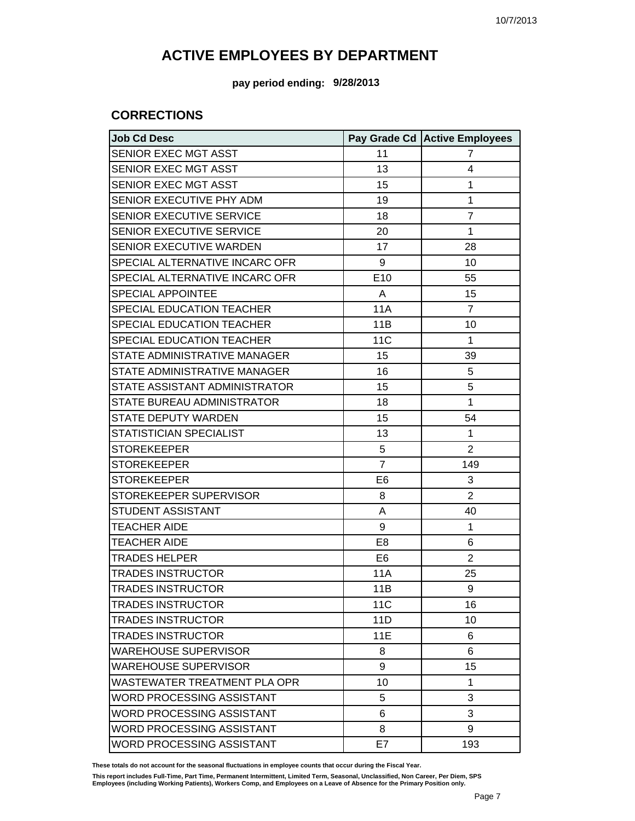**pay period ending: 9/28/2013**

#### **CORRECTIONS**

| <b>Job Cd Desc</b>               |                 | Pay Grade Cd Active Employees |
|----------------------------------|-----------------|-------------------------------|
| SENIOR EXEC MGT ASST             | 11              | 7                             |
| SENIOR EXEC MGT ASST             | 13              | 4                             |
| SENIOR EXEC MGT ASST             | 15              | 1                             |
| SENIOR EXECUTIVE PHY ADM         | 19              | 1                             |
| SENIOR EXECUTIVE SERVICE         | 18              | $\overline{7}$                |
| SENIOR EXECUTIVE SERVICE         | 20              | $\mathbf{1}$                  |
| SENIOR EXECUTIVE WARDEN          | 17              | 28                            |
| SPECIAL ALTERNATIVE INCARC OFR   | 9               | 10                            |
| SPECIAL ALTERNATIVE INCARC OFR   | E10             | 55                            |
| <b>SPECIAL APPOINTEE</b>         | A               | 15                            |
| SPECIAL EDUCATION TEACHER        | <b>11A</b>      | $\overline{7}$                |
| SPECIAL EDUCATION TEACHER        | 11B             | 10                            |
| <b>SPECIAL EDUCATION TEACHER</b> | 11 <sub>C</sub> | $\mathbf{1}$                  |
| STATE ADMINISTRATIVE MANAGER     | 15              | 39                            |
| STATE ADMINISTRATIVE MANAGER     | 16              | 5                             |
| STATE ASSISTANT ADMINISTRATOR    | 15              | 5                             |
| STATE BUREAU ADMINISTRATOR       | 18              | $\mathbf{1}$                  |
| <b>STATE DEPUTY WARDEN</b>       | 15              | 54                            |
| STATISTICIAN SPECIALIST          | 13              | $\mathbf{1}$                  |
| <b>STOREKEEPER</b>               | 5               | $\overline{2}$                |
| <b>STOREKEEPER</b>               | $\overline{7}$  | 149                           |
| <b>STOREKEEPER</b>               | E <sub>6</sub>  | 3                             |
| STOREKEEPER SUPERVISOR           | 8               | $\overline{2}$                |
| STUDENT ASSISTANT                | Α               | 40                            |
| <b>TEACHER AIDE</b>              | 9               | $\mathbf{1}$                  |
| <b>TEACHER AIDE</b>              | E <sub>8</sub>  | 6                             |
| <b>TRADES HELPER</b>             | E <sub>6</sub>  | $\overline{2}$                |
| <b>TRADES INSTRUCTOR</b>         | 11A             | 25                            |
| <b>TRADES INSTRUCTOR</b>         | 11B             | 9                             |
| <b>TRADES INSTRUCTOR</b>         | 11C             | 16                            |
| <b>TRADES INSTRUCTOR</b>         | 11D             | 10                            |
| <b>TRADES INSTRUCTOR</b>         | <b>11E</b>      | 6                             |
| <b>WAREHOUSE SUPERVISOR</b>      | 8               | 6                             |
| <b>WAREHOUSE SUPERVISOR</b>      | 9               | 15                            |
| WASTEWATER TREATMENT PLA OPR     | 10              | 1                             |
| <b>WORD PROCESSING ASSISTANT</b> | 5               | 3                             |
| <b>WORD PROCESSING ASSISTANT</b> | 6               | 3                             |
| WORD PROCESSING ASSISTANT        | 8               | 9                             |
| WORD PROCESSING ASSISTANT        | E7              | 193                           |

**These totals do not account for the seasonal fluctuations in employee counts that occur during the Fiscal Year.**